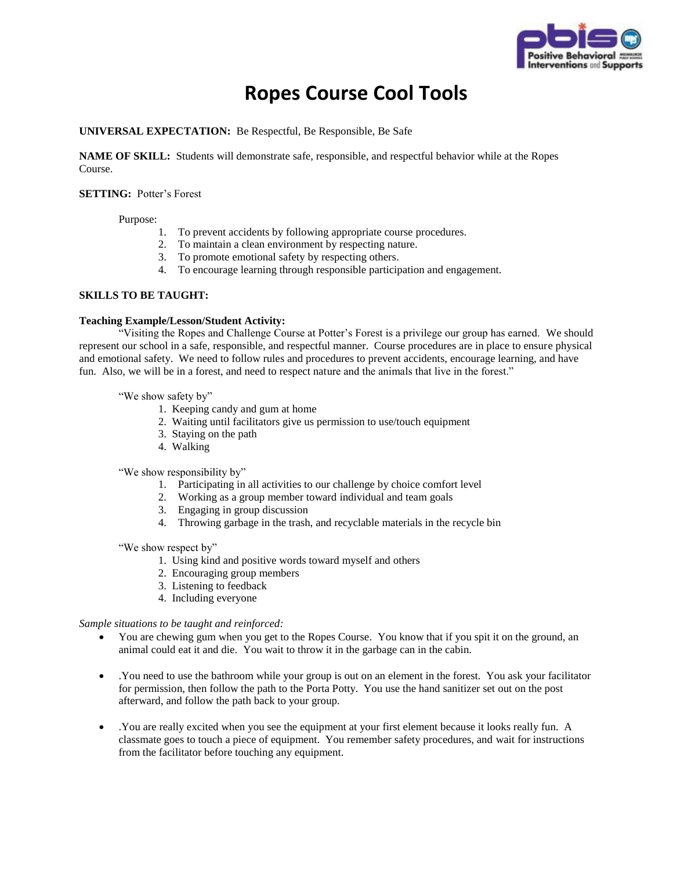

# **Ropes Course Cool Tools**

### **UNIVERSAL EXPECTATION:** Be Respectful, Be Responsible, Be Safe

**NAME OF SKILL:** Students will demonstrate safe, responsible, and respectful behavior while at the Ropes Course.

#### **SETTING:** Potter's Forest

Purpose:

- 1. To prevent accidents by following appropriate course procedures.
- 2. To maintain a clean environment by respecting nature.
- 3. To promote emotional safety by respecting others.
- 4. To encourage learning through responsible participation and engagement.

#### **SKILLS TO BE TAUGHT:**

#### **Teaching Example/Lesson/Student Activity:**

"Visiting the Ropes and Challenge Course at Potter's Forest is a privilege our group has earned. We should represent our school in a safe, responsible, and respectful manner. Course procedures are in place to ensure physical and emotional safety. We need to follow rules and procedures to prevent accidents, encourage learning, and have fun. Also, we will be in a forest, and need to respect nature and the animals that live in the forest."

"We show safety by"

- 1. Keeping candy and gum at home
- 2. Waiting until facilitators give us permission to use/touch equipment
- 3. Staying on the path
- 4. Walking

"We show responsibility by"

- 1. Participating in all activities to our challenge by choice comfort level
- 2. Working as a group member toward individual and team goals
- 3. Engaging in group discussion
- 4. Throwing garbage in the trash, and recyclable materials in the recycle bin

"We show respect by"

- 1. Using kind and positive words toward myself and others
- 2. Encouraging group members
- 3. Listening to feedback
- 4. Including everyone

*Sample situations to be taught and reinforced:*

- You are chewing gum when you get to the Ropes Course. You know that if you spit it on the ground, an animal could eat it and die. You wait to throw it in the garbage can in the cabin.
- .You need to use the bathroom while your group is out on an element in the forest. You ask your facilitator for permission, then follow the path to the Porta Potty. You use the hand sanitizer set out on the post afterward, and follow the path back to your group.
- .You are really excited when you see the equipment at your first element because it looks really fun. A classmate goes to touch a piece of equipment. You remember safety procedures, and wait for instructions from the facilitator before touching any equipment.